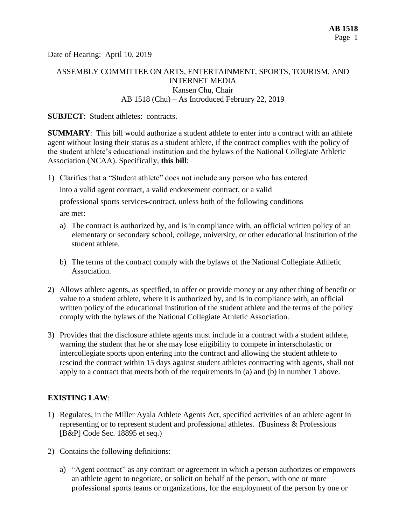Date of Hearing: April 10, 2019

## ASSEMBLY COMMITTEE ON ARTS, ENTERTAINMENT, SPORTS, TOURISM, AND INTERNET MEDIA Kansen Chu, Chair AB 1518 (Chu) – As Introduced February 22, 2019

#### **SUBJECT:** Student athletes: contracts.

**SUMMARY**: This bill would authorize a student athlete to enter into a contract with an athlete agent without losing their status as a student athlete, if the contract complies with the policy of the student athlete's educational institution and the bylaws of the National Collegiate Athletic Association (NCAA). Specifically, **this bill**:

1) Clarifies that a "Student athlete" does not include any person who has entered

into a valid agent contract, a valid endorsement contract, or a valid

professional sports services contract, unless both of the following conditions are met:

- a) The contract is authorized by, and is in compliance with, an official written policy of an elementary or secondary school, college, university, or other educational institution of the student athlete.
- b) The terms of the contract comply with the bylaws of the National Collegiate Athletic Association.
- 2) Allows athlete agents, as specified, to offer or provide money or any other thing of benefit or value to a student athlete, where it is authorized by, and is in compliance with, an official written policy of the educational institution of the student athlete and the terms of the policy comply with the bylaws of the National Collegiate Athletic Association.
- 3) Provides that the disclosure athlete agents must include in a contract with a student athlete, warning the student that he or she may lose eligibility to compete in interscholastic or intercollegiate sports upon entering into the contract and allowing the student athlete to rescind the contract within 15 days against student athletes contracting with agents, shall not apply to a contract that meets both of the requirements in (a) and (b) in number 1 above.

## **EXISTING LAW**:

- 1) Regulates, in the Miller Ayala Athlete Agents Act, specified activities of an athlete agent in representing or to represent student and professional athletes. (Business & Professions [B&P] Code Sec. 18895 et seq.)
- 2) Contains the following definitions:
	- a) "Agent contract" as any contract or agreement in which a person authorizes or empowers an athlete agent to negotiate, or solicit on behalf of the person, with one or more professional sports teams or organizations, for the employment of the person by one or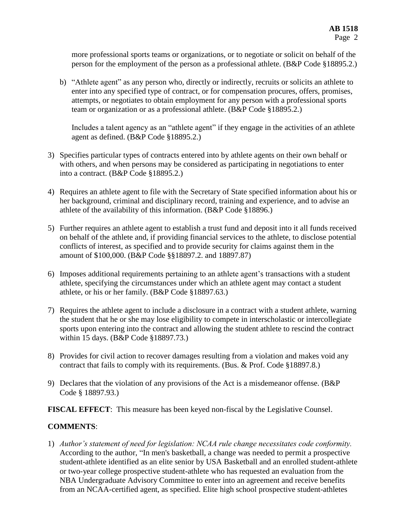more professional sports teams or organizations, or to negotiate or solicit on behalf of the person for the employment of the person as a professional athlete. (B&P Code §18895.2.)

b) "Athlete agent" as any person who, directly or indirectly, recruits or solicits an athlete to enter into any specified type of contract, or for compensation procures, offers, promises, attempts, or negotiates to obtain employment for any person with a professional sports team or organization or as a professional athlete. (B&P Code §18895.2.)

Includes a talent agency as an "athlete agent" if they engage in the activities of an athlete agent as defined. (B&P Code §18895.2.)

- 3) Specifies particular types of contracts entered into by athlete agents on their own behalf or with others, and when persons may be considered as participating in negotiations to enter into a contract. (B&P Code §18895.2.)
- 4) Requires an athlete agent to file with the Secretary of State specified information about his or her background, criminal and disciplinary record, training and experience, and to advise an athlete of the availability of this information. (B&P Code §18896.)
- 5) Further requires an athlete agent to establish a trust fund and deposit into it all funds received on behalf of the athlete and, if providing financial services to the athlete, to disclose potential conflicts of interest, as specified and to provide security for claims against them in the amount of \$100,000. (B&P Code §§18897.2. and 18897.87)
- 6) Imposes additional requirements pertaining to an athlete agent's transactions with a student athlete, specifying the circumstances under which an athlete agent may contact a student athlete, or his or her family. (B&P Code §18897.63.)
- 7) Requires the athlete agent to include a disclosure in a contract with a student athlete, warning the student that he or she may lose eligibility to compete in interscholastic or intercollegiate sports upon entering into the contract and allowing the student athlete to rescind the contract within 15 days. (B&P Code §18897.73.)
- 8) Provides for civil action to recover damages resulting from a violation and makes void any contract that fails to comply with its requirements. (Bus. & Prof. Code §18897.8.)
- 9) Declares that the violation of any provisions of the Act is a misdemeanor offense. (B&P Code § 18897.93.)

**FISCAL EFFECT**: This measure has been keyed non-fiscal by the Legislative Counsel.

## **COMMENTS**:

1) *Author's statement of need for legislation: NCAA rule change necessitates code conformity.*  According to the author, "In men's basketball, a change was needed to permit a prospective student-athlete identified as an elite senior by USA Basketball and an enrolled student-athlete or two-year college prospective student-athlete who has requested an evaluation from the NBA Undergraduate Advisory Committee to enter into an agreement and receive benefits from an NCAA-certified agent, as specified. Elite high school prospective student-athletes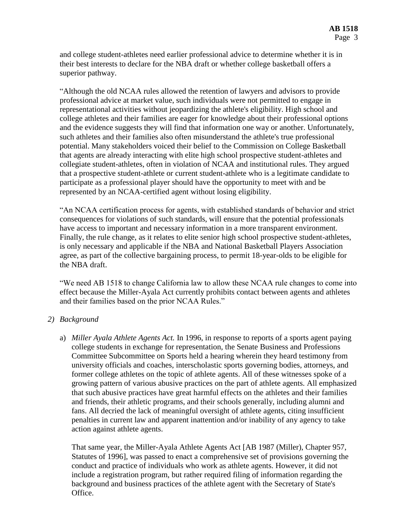and college student-athletes need earlier professional advice to determine whether it is in their best interests to declare for the NBA draft or whether college basketball offers a superior pathway.

"Although the old NCAA rules allowed the retention of lawyers and advisors to provide professional advice at market value, such individuals were not permitted to engage in representational activities without jeopardizing the athlete's eligibility. High school and college athletes and their families are eager for knowledge about their professional options and the evidence suggests they will find that information one way or another. Unfortunately, such athletes and their families also often misunderstand the athlete's true professional potential. Many stakeholders voiced their belief to the Commission on College Basketball that agents are already interacting with elite high school prospective student-athletes and collegiate student-athletes, often in violation of NCAA and institutional rules. They argued that a prospective student-athlete or current student-athlete who is a legitimate candidate to participate as a professional player should have the opportunity to meet with and be represented by an NCAA-certified agent without losing eligibility.

"An NCAA certification process for agents, with established standards of behavior and strict consequences for violations of such standards, will ensure that the potential professionals have access to important and necessary information in a more transparent environment. Finally, the rule change, as it relates to elite senior high school prospective student-athletes, is only necessary and applicable if the NBA and National Basketball Players Association agree, as part of the collective bargaining process, to permit 18-year-olds to be eligible for the NBA draft.

"We need AB 1518 to change California law to allow these NCAA rule changes to come into effect because the Miller-Ayala Act currently prohibits contact between agents and athletes and their families based on the prior NCAA Rules."

#### *2) Background*

a) *Miller Ayala Athlete Agents Act.* In 1996, in response to reports of a sports agent paying college students in exchange for representation, the Senate Business and Professions Committee Subcommittee on Sports held a hearing wherein they heard testimony from university officials and coaches, interscholastic sports governing bodies, attorneys, and former college athletes on the topic of athlete agents. All of these witnesses spoke of a growing pattern of various abusive practices on the part of athlete agents. All emphasized that such abusive practices have great harmful effects on the athletes and their families and friends, their athletic programs, and their schools generally, including alumni and fans. All decried the lack of meaningful oversight of athlete agents, citing insufficient penalties in current law and apparent inattention and/or inability of any agency to take action against athlete agents.

That same year, the Miller-Ayala Athlete Agents Act [AB 1987 (Miller), Chapter 957, Statutes of 1996], was passed to enact a comprehensive set of provisions governing the conduct and practice of individuals who work as athlete agents. However, it did not include a registration program, but rather required filing of information regarding the background and business practices of the athlete agent with the Secretary of State's Office.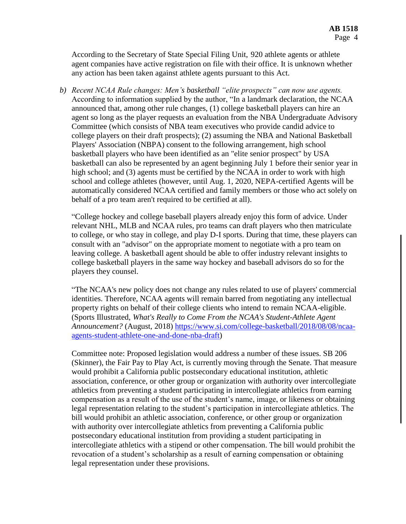According to the Secretary of State Special Filing Unit, 920 athlete agents or athlete agent companies have active registration on file with their office. It is unknown whether any action has been taken against athlete agents pursuant to this Act.

*b) Recent NCAA Rule changes: Men's basketball "elite prospects" can now use agents.* According to information supplied by the author, "In a landmark declaration, the NCAA announced that, among other rule changes, (1) college basketball players can hire an agent so long as the player requests an evaluation from the NBA Undergraduate Advisory Committee (which consists of NBA team executives who provide candid advice to college players on their draft prospects); (2) assuming the NBA and National Basketball Players' Association (NBPA) consent to the following arrangement, high school basketball players who have been identified as an "elite senior prospect" by USA basketball can also be represented by an agent beginning July 1 before their senior year in high school; and (3) agents must be certified by the NCAA in order to work with high school and college athletes (however, until Aug. 1, 2020, NEPA-certified Agents will be automatically considered NCAA certified and family members or those who act solely on behalf of a pro team aren't required to be certified at all).

"College hockey and college baseball players already enjoy this form of advice. Under relevant NHL, MLB and NCAA rules, pro teams can draft players who then matriculate to college, or who stay in college, and play D-I sports. During that time, these players can consult with an "advisor" on the appropriate moment to negotiate with a pro team on leaving college. A basketball agent should be able to offer industry relevant insights to college basketball players in the same way hockey and baseball advisors do so for the players they counsel.

"The NCAA's new policy does not change any rules related to use of players' commercial identities. Therefore, NCAA agents will remain barred from negotiating any intellectual property rights on behalf of their college clients who intend to remain NCAA-eligible. (Sports Illustrated, *What's Really to Come From the NCAA's Student-Athlete Agent Announcement?* (August, 2018) [https://www.si.com/college-basketball/2018/08/08/ncaa](https://www.si.com/college-basketball/2018/08/08/ncaa-agents-student-athlete-one-and-done-nba-draft)[agents-student-athlete-one-and-done-nba-draft\)](https://www.si.com/college-basketball/2018/08/08/ncaa-agents-student-athlete-one-and-done-nba-draft)

Committee note: Proposed legislation would address a number of these issues. SB 206 (Skinner), the Fair Pay to Play Act, is currently moving through the Senate. That measure would prohibit a California public postsecondary educational institution, athletic association, conference, or other group or organization with authority over intercollegiate athletics from preventing a student participating in intercollegiate athletics from earning compensation as a result of the use of the student's name, image, or likeness or obtaining legal representation relating to the student's participation in intercollegiate athletics. The bill would prohibit an athletic association, conference, or other group or organization with authority over intercollegiate athletics from preventing a California public postsecondary educational institution from providing a student participating in intercollegiate athletics with a stipend or other compensation. The bill would prohibit the revocation of a student's scholarship as a result of earning compensation or obtaining legal representation under these provisions.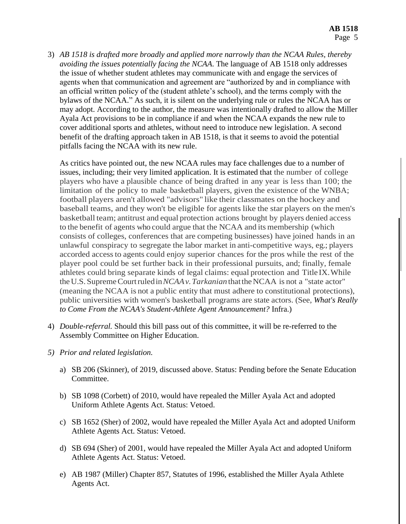3) *AB 1518 is drafted more broadly and applied more narrowly than the NCAA Rules, thereby avoiding the issues potentially facing the NCAA*. The language of AB 1518 only addresses the issue of whether student athletes may communicate with and engage the services of agents when that communication and agreement are "authorized by and in compliance with an official written policy of the (student athlete's school), and the terms comply with the bylaws of the NCAA." As such, it is silent on the underlying rule or rules the NCAA has or may adopt. According to the author, the measure was intentionally drafted to allow the Miller Ayala Act provisions to be in compliance if and when the NCAA expands the new rule to cover additional sports and athletes, without need to introduce new legislation. A second benefit of the drafting approach taken in AB 1518, is that it seems to avoid the potential pitfalls facing the NCAA with its new rule.

As critics have pointed out, the new NCAA rules may face challenges due to a number of issues, including; their very limited application. It is estimated that the number of college players who have a plausible chance of being drafted in any year is less than 100; the limitation of the policy to male basketball players, given the existence of the WNBA; football players aren't allowed "advisors" like their classmates on the hockey and baseball teams, and they won't be eligible for agents like the star players on themen's basketball team; antitrust and equal protection actions brought by players denied access to the benefit of agents who could argue that the NCAA and its membership (which consists of colleges, conferences that are competing businesses) have joined hands in an unlawful conspiracy to segregate the labor market in anti-competitive ways, eg.; players accorded accessto agents could enjoy superior chances for the pros while the rest of the player pool could be set further back in their professional pursuits, and; finally, female athletes could bring separate kinds of legal claims: equal protection and Title IX.While theU.S. SupremeCourtruledin*NCAAv.Tarkanian* thattheNCAA is not a "state actor" (meaning the NCAA is not a public entity that must adhere to constitutional protections), public universities with women's basketball programs are state actors. (See, *What's Really to Come From the NCAA's Student-Athlete Agent Announcement?* Infra.)

- 4) *Double-referral.* Should this bill pass out of this committee, it will be re-referred to the Assembly Committee on Higher Education.
- *5) Prior and related legislation.*
	- a) SB 206 (Skinner), of 2019, discussed above. Status: Pending before the Senate Education Committee.
	- b) SB 1098 (Corbett) of 2010, would have repealed the Miller Ayala Act and adopted Uniform Athlete Agents Act. Status: Vetoed.
	- c) SB 1652 (Sher) of 2002, would have repealed the Miller Ayala Act and adopted Uniform Athlete Agents Act. Status: Vetoed.
	- d) SB 694 (Sher) of 2001, would have repealed the Miller Ayala Act and adopted Uniform Athlete Agents Act. Status: Vetoed.
	- e) AB 1987 (Miller) Chapter 857, Statutes of 1996, established the Miller Ayala Athlete Agents Act.